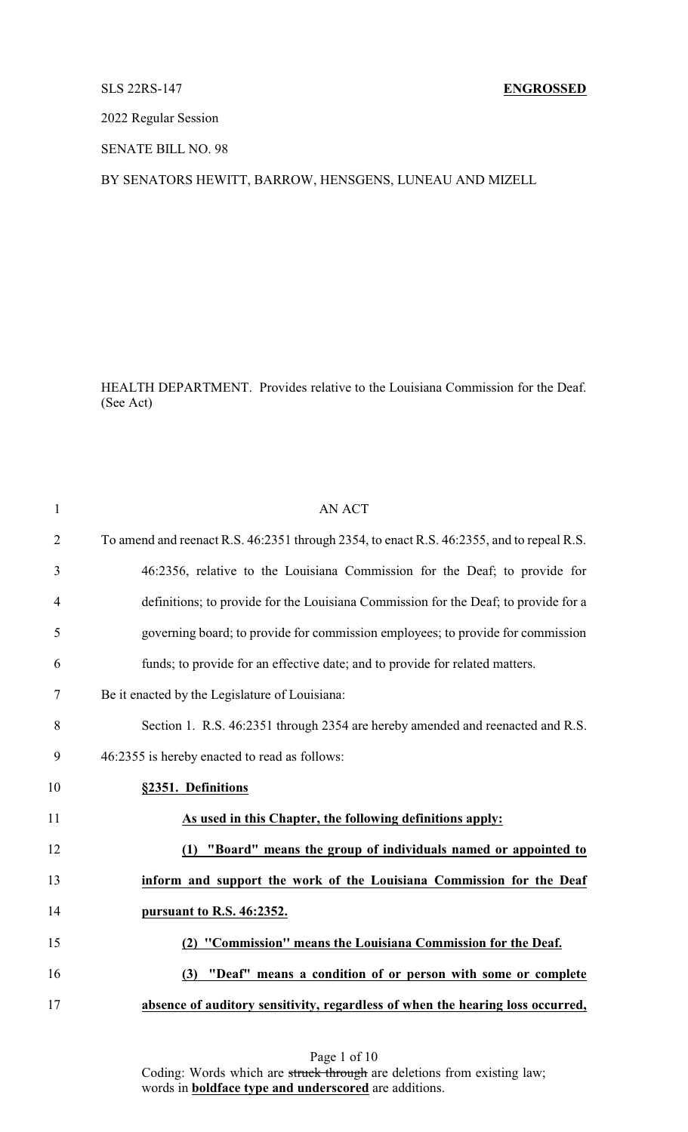## SLS 22RS-147 **ENGROSSED**

2022 Regular Session

SENATE BILL NO. 98

BY SENATORS HEWITT, BARROW, HENSGENS, LUNEAU AND MIZELL

HEALTH DEPARTMENT. Provides relative to the Louisiana Commission for the Deaf. (See Act)

| $\mathbf{1}$   | <b>AN ACT</b>                                                                             |
|----------------|-------------------------------------------------------------------------------------------|
| $\overline{2}$ | To amend and reenact R.S. 46:2351 through 2354, to enact R.S. 46:2355, and to repeal R.S. |
| 3              | 46:2356, relative to the Louisiana Commission for the Deaf; to provide for                |
| $\overline{4}$ | definitions; to provide for the Louisiana Commission for the Deaf; to provide for a       |
| 5              | governing board; to provide for commission employees; to provide for commission           |
| 6              | funds; to provide for an effective date; and to provide for related matters.              |
| $\tau$         | Be it enacted by the Legislature of Louisiana:                                            |
| 8              | Section 1. R.S. 46:2351 through 2354 are hereby amended and reenacted and R.S.            |
| 9              | 46:2355 is hereby enacted to read as follows:                                             |
| 10             | §2351. Definitions                                                                        |
| 11             | As used in this Chapter, the following definitions apply:                                 |
| 12             | "Board" means the group of individuals named or appointed to<br>(1)                       |
| 13             | inform and support the work of the Louisiana Commission for the Deaf                      |
| 14             | pursuant to R.S. 46:2352.                                                                 |
| 15             | (2) "Commission" means the Louisiana Commission for the Deaf.                             |
| 16             | (3) "Deaf" means a condition of or person with some or complete                           |
| 17             | absence of auditory sensitivity, regardless of when the hearing loss occurred,            |
|                |                                                                                           |

Page 1 of 10 Coding: Words which are struck through are deletions from existing law; words in **boldface type and underscored** are additions.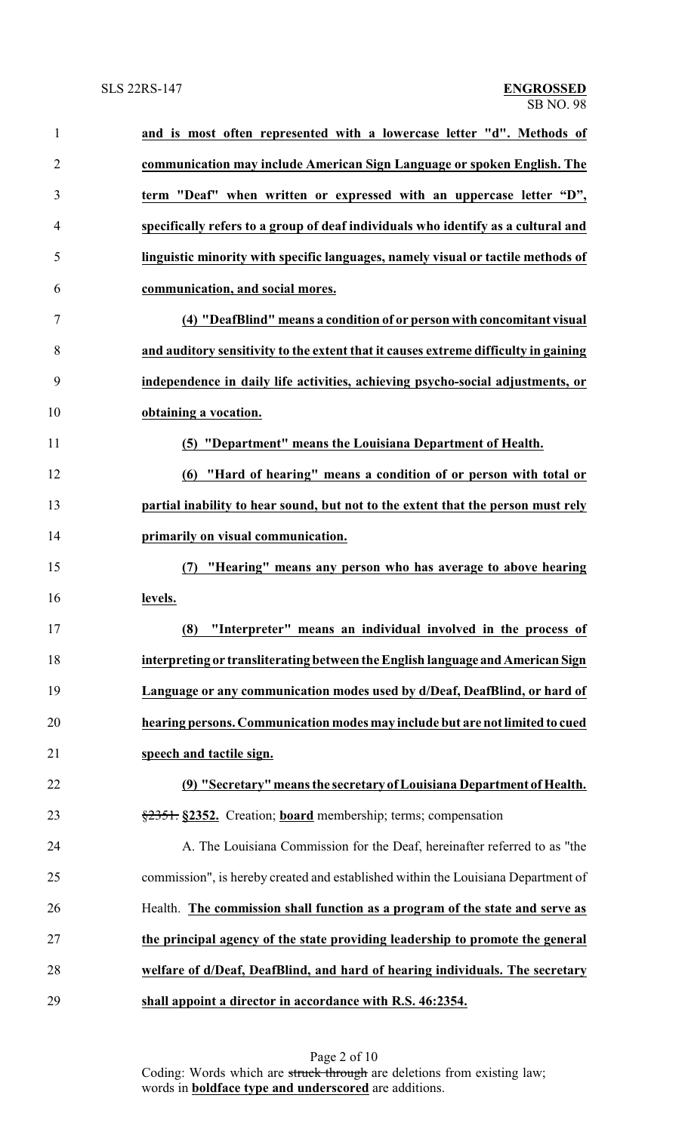| $\mathbf{1}$   | and is most often represented with a lowercase letter "d". Methods of               |
|----------------|-------------------------------------------------------------------------------------|
| $\overline{2}$ | communication may include American Sign Language or spoken English. The             |
| 3              | term "Deaf" when written or expressed with an uppercase letter "D",                 |
| 4              | specifically refers to a group of deaf individuals who identify as a cultural and   |
| 5              | linguistic minority with specific languages, namely visual or tactile methods of    |
| 6              | communication, and social mores.                                                    |
| $\tau$         | (4) "DeafBlind" means a condition of or person with concomitant visual              |
| 8              | and auditory sensitivity to the extent that it causes extreme difficulty in gaining |
| 9              | independence in daily life activities, achieving psycho-social adjustments, or      |
| 10             | obtaining a vocation.                                                               |
| 11             | (5) "Department" means the Louisiana Department of Health.                          |
| 12             | "Hard of hearing" means a condition of or person with total or<br>(6)               |
| 13             | partial inability to hear sound, but not to the extent that the person must rely    |
| 14             | primarily on visual communication.                                                  |
| 15             | "Hearing" means any person who has average to above hearing<br>(7)                  |
| 16             | levels.                                                                             |
| 17             | "Interpreter" means an individual involved in the process of<br>(8)                 |
| 18             | interpreting or transliterating between the English language and American Sign      |
| 19             | Language or any communication modes used by d/Deaf, DeafBlind, or hard of           |
| 20             | hearing persons. Communication modes may include but are not limited to cued        |
| 21             | speech and tactile sign.                                                            |
| 22             | (9) "Secretary" means the secretary of Louisiana Department of Health.              |
| 23             | \$2351. §2352. Creation; board membership; terms; compensation                      |
| 24             | A. The Louisiana Commission for the Deaf, hereinafter referred to as "the           |
| 25             | commission", is hereby created and established within the Louisiana Department of   |
| 26             | Health. The commission shall function as a program of the state and serve as        |
| 27             | the principal agency of the state providing leadership to promote the general       |
| 28             | welfare of d/Deaf, DeafBlind, and hard of hearing individuals. The secretary        |
| 29             | shall appoint a director in accordance with R.S. 46:2354.                           |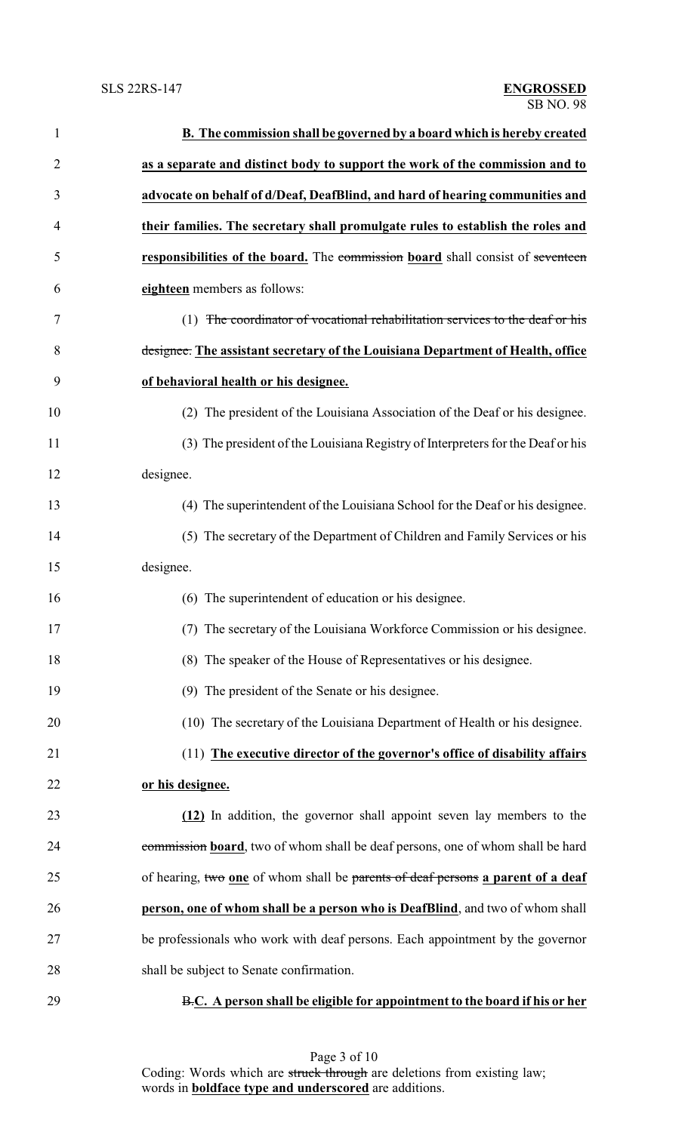| $\mathbf{1}$ | B. The commission shall be governed by a board which is hereby created          |
|--------------|---------------------------------------------------------------------------------|
| 2            | as a separate and distinct body to support the work of the commission and to    |
| 3            | advocate on behalf of d/Deaf, DeafBlind, and hard of hearing communities and    |
| 4            | their families. The secretary shall promulgate rules to establish the roles and |
| 5            | responsibilities of the board. The commission board shall consist of seventeen  |
| 6            | eighteen members as follows:                                                    |
| 7            | (1) The coordinator of vocational rehabilitation services to the deaf or his    |
| 8            | designee. The assistant secretary of the Louisiana Department of Health, office |
| 9            | of behavioral health or his designee.                                           |
| 10           | (2) The president of the Louisiana Association of the Deaf or his designee.     |
| 11           | (3) The president of the Louisiana Registry of Interpreters for the Deaf or his |
| 12           | designee.                                                                       |
| 13           | (4) The superintendent of the Louisiana School for the Deaf or his designee.    |
| 14           | (5) The secretary of the Department of Children and Family Services or his      |
| 15           | designee.                                                                       |
| 16           | (6) The superintendent of education or his designee.                            |
| 17           | (7) The secretary of the Louisiana Workforce Commission or his designee.        |
| 18           | (8) The speaker of the House of Representatives or his designee.                |
| 19           | (9) The president of the Senate or his designee.                                |
| 20           | (10) The secretary of the Louisiana Department of Health or his designee.       |
| 21           | (11) The executive director of the governor's office of disability affairs      |
| 22           | or his designee.                                                                |
| 23           | (12) In addition, the governor shall appoint seven lay members to the           |
| 24           | commission board, two of whom shall be deaf persons, one of whom shall be hard  |
| 25           | of hearing, two one of whom shall be parents of deaf persons a parent of a deaf |
| 26           | person, one of whom shall be a person who is DeafBlind, and two of whom shall   |
| 27           | be professionals who work with deaf persons. Each appointment by the governor   |
| 28           | shall be subject to Senate confirmation.                                        |
| 29           | B.C. A person shall be eligible for appointment to the board if his or her      |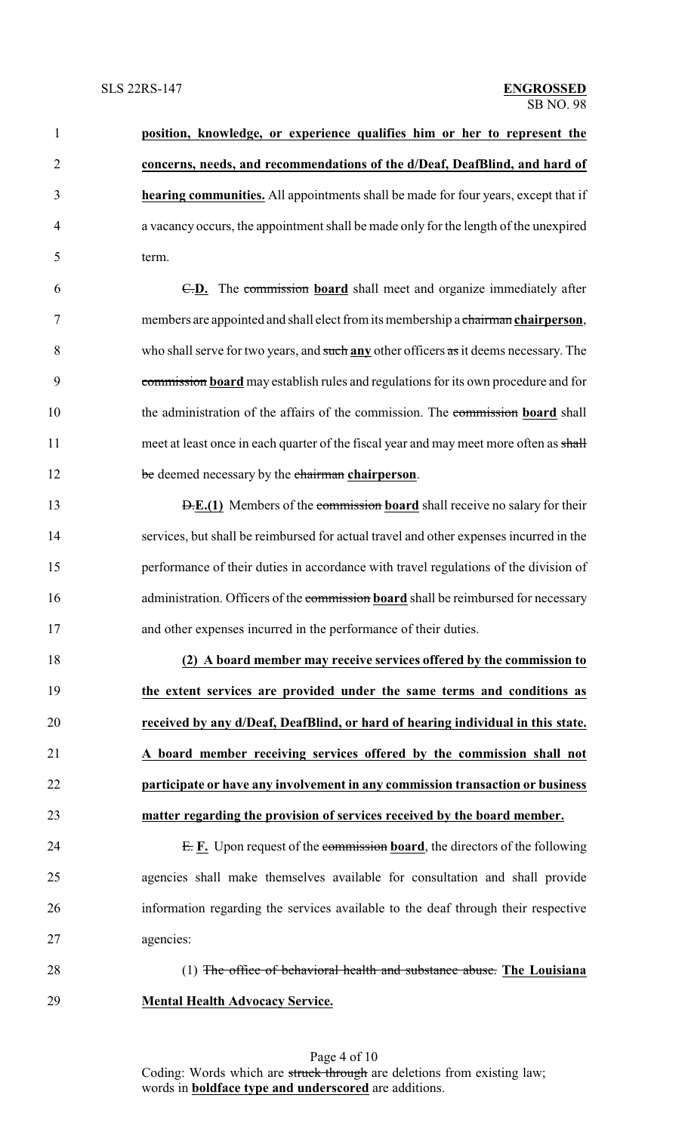| $\mathbf{1}$   | position, knowledge, or experience qualifies him or her to represent the                  |
|----------------|-------------------------------------------------------------------------------------------|
| $\overline{2}$ | concerns, needs, and recommendations of the d/Deaf, DeafBlind, and hard of                |
| 3              | <b>hearing communities.</b> All appointments shall be made for four years, except that if |
| $\overline{4}$ | a vacancy occurs, the appointment shall be made only for the length of the unexpired      |
| 5              | term.                                                                                     |
| 6              | <b>E.D.</b> The commission board shall meet and organize immediately after                |
| 7              | members are appointed and shall elect from its membership a chairman chairperson,         |
| 8              | who shall serve for two years, and such any other officers as it deems necessary. The     |
| 9              | commission board may establish rules and regulations for its own procedure and for        |
| 10             | the administration of the affairs of the commission. The commission board shall           |
| 11             | meet at least once in each quarter of the fiscal year and may meet more often as shall    |
| 12             | be deemed necessary by the chairman chairperson.                                          |
| 13             | <b>D.E.(1)</b> Members of the commission board shall receive no salary for their          |
| 14             | services, but shall be reimbursed for actual travel and other expenses incurred in the    |
| 15             | performance of their duties in accordance with travel regulations of the division of      |
| 16             | administration. Officers of the commission board shall be reimbursed for necessary        |
| 17             | and other expenses incurred in the performance of their duties.                           |
| 18             | (2) A board member may receive services offered by the commission to                      |
| 19             | the extent services are provided under the same terms and conditions as                   |
| 20             | received by any d/Deaf, DeafBlind, or hard of hearing individual in this state.           |

 **A board member receiving services offered by the commission shall not participate or have any involvement in any commission transaction or business matter regarding the provision of services received by the board member.**

24 E. **F.** Upon request of the commission **board**, the directors of the following agencies shall make themselves available for consultation and shall provide information regarding the services available to the deaf through their respective agencies:

(1) The office of behavioral health and substance abuse. **The Louisiana**

**Mental Health Advocacy Service.**

Page 4 of 10 Coding: Words which are struck through are deletions from existing law; words in **boldface type and underscored** are additions.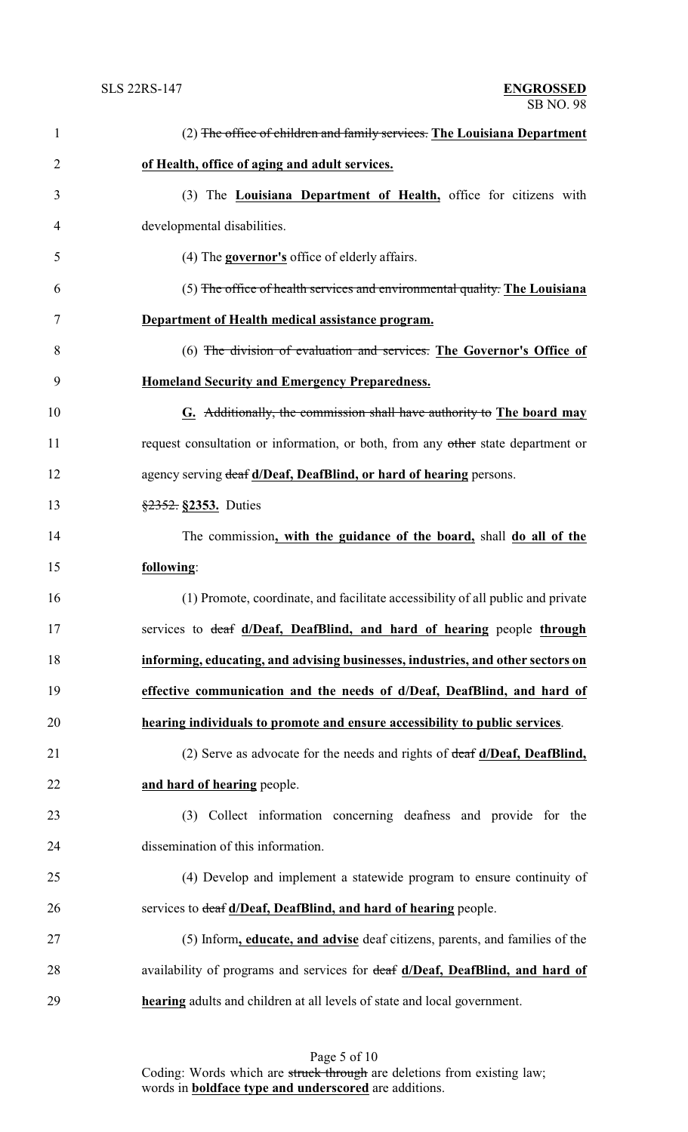| $\mathbf{1}$   | (2) The office of children and family services. The Louisiana Department         |
|----------------|----------------------------------------------------------------------------------|
| $\overline{2}$ | of Health, office of aging and adult services.                                   |
| 3              | (3) The <b>Louisiana Department of Health</b> , office for citizens with         |
| 4              | developmental disabilities.                                                      |
| 5              | $(4)$ The <b>governor's</b> office of elderly affairs.                           |
| 6              | (5) The office of health services and environmental quality. The Louisiana       |
| 7              | Department of Health medical assistance program.                                 |
| 8              | (6) The division of evaluation and services. The Governor's Office of            |
| 9              | <b>Homeland Security and Emergency Preparedness.</b>                             |
| 10             | G. Additionally, the commission shall have authority to The board may            |
| 11             | request consultation or information, or both, from any other state department or |
| 12             | agency serving deaf d/Deaf, DeafBlind, or hard of hearing persons.               |
| 13             | $\frac{$2352}{,}$ \$2353. Duties                                                 |
| 14             | The commission, with the guidance of the board, shall do all of the              |
| 15             | following:                                                                       |
| 16             | (1) Promote, coordinate, and facilitate accessibility of all public and private  |
| 17             | services to deaf d/Deaf, DeafBlind, and hard of hearing people through           |
| 18             | informing, educating, and advising businesses, industries, and other sectors on  |
| 19             | effective communication and the needs of d/Deaf, DeafBlind, and hard of          |
| 20             | hearing individuals to promote and ensure accessibility to public services.      |
| 21             | (2) Serve as advocate for the needs and rights of deaf d/Deaf, DeafBlind,        |
| 22             | and hard of hearing people.                                                      |
| 23             | (3) Collect information concerning deafness and provide for the                  |
| 24             | dissemination of this information.                                               |
| 25             | (4) Develop and implement a statewide program to ensure continuity of            |
| 26             | services to deaf d/Deaf, DeafBlind, and hard of hearing people.                  |
| 27             | (5) Inform, educate, and advise deaf citizens, parents, and families of the      |
| 28             | availability of programs and services for deaf d/Deaf, DeafBlind, and hard of    |
| 29             | <b>hearing</b> adults and children at all levels of state and local government.  |

Page 5 of 10 Coding: Words which are struck through are deletions from existing law; words in **boldface type and underscored** are additions.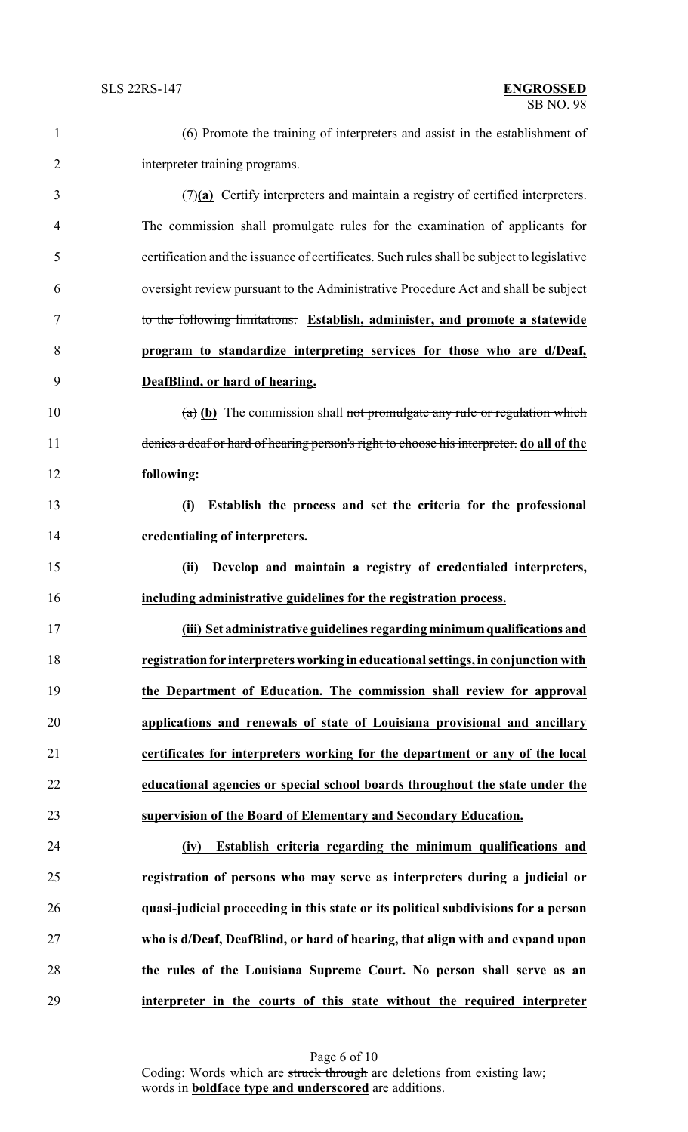| $\mathbf{1}$ | (6) Promote the training of interpreters and assist in the establishment of                |
|--------------|--------------------------------------------------------------------------------------------|
| 2            | interpreter training programs.                                                             |
| 3            | $(7)(a)$ Certify interpreters and maintain a registry of certified interpreters.           |
| 4            | The commission shall promulgate rules for the examination of applicants for                |
| 5            | certification and the issuance of certificates. Such rules shall be subject to legislative |
| 6            | oversight review pursuant to the Administrative Procedure Act and shall be subject         |
| 7            | to the following limitations: Establish, administer, and promote a statewide               |
| 8            | program to standardize interpreting services for those who are d/Deaf,                     |
| 9            | DeafBlind, or hard of hearing.                                                             |
| 10           | $(a)$ (b) The commission shall not promulgate any rule or regulation which                 |
| 11           | denies a deaf or hard of hearing person's right to choose his interpreter. do all of the   |
| 12           | following:                                                                                 |
| 13           | Establish the process and set the criteria for the professional<br>(i)                     |
| 14           | credentialing of interpreters.                                                             |
| 15           | Develop and maintain a registry of credentialed interpreters,<br>(ii)                      |
| 16           | including administrative guidelines for the registration process.                          |
| 17           | (iii) Set administrative guidelines regarding minimum qualifications and                   |
| 18           | registration for interpreters working in educational settings, in conjunction with         |
| 19           | the Department of Education. The commission shall review for approval                      |
| 20           | applications and renewals of state of Louisiana provisional and ancillary                  |
| 21           | certificates for interpreters working for the department or any of the local               |
| 22           | educational agencies or special school boards throughout the state under the               |
| 23           | supervision of the Board of Elementary and Secondary Education.                            |
| 24           | Establish criteria regarding the minimum qualifications and<br>(iv)                        |
| 25           | registration of persons who may serve as interpreters during a judicial or                 |
| 26           | quasi-judicial proceeding in this state or its political subdivisions for a person         |
| 27           | who is d/Deaf, DeafBlind, or hard of hearing, that align with and expand upon              |
| 28           | the rules of the Louisiana Supreme Court. No person shall serve as an                      |
| 29           | interpreter in the courts of this state without the required interpreter                   |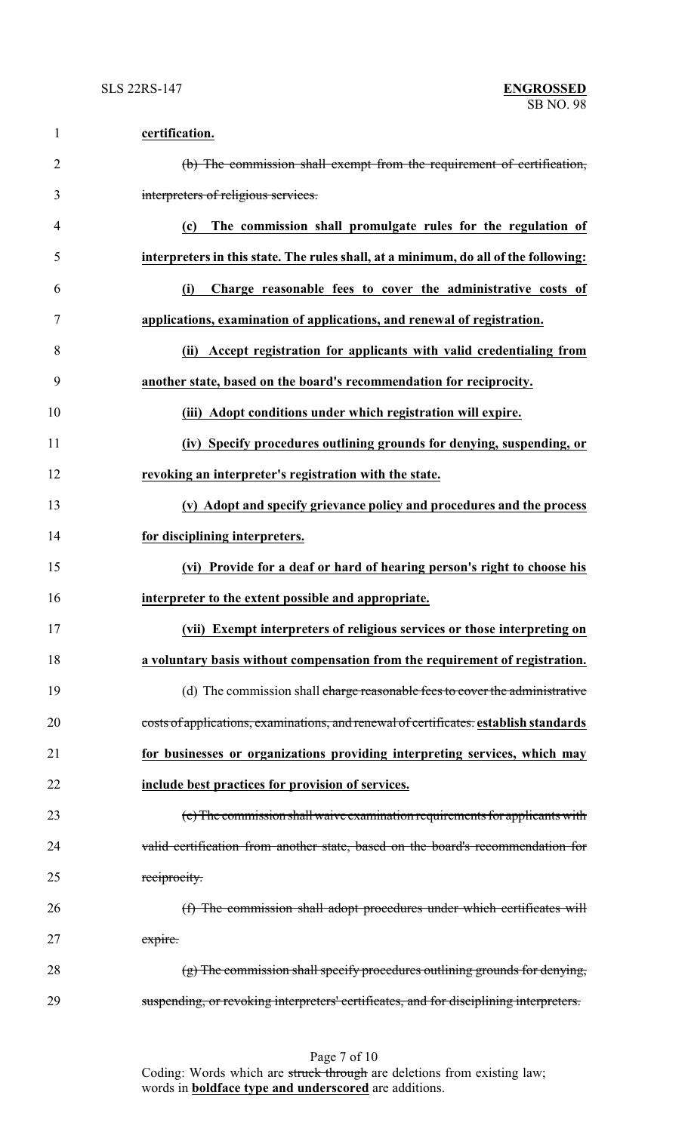| $\mathbf{1}$   | certification.                                                                         |
|----------------|----------------------------------------------------------------------------------------|
| $\overline{2}$ | (b) The commission shall exempt from the requirement of certification,                 |
| 3              | interpreters of religious services.                                                    |
| $\overline{4}$ | The commission shall promulgate rules for the regulation of<br>(c)                     |
| 5              | interpreters in this state. The rules shall, at a minimum, do all of the following:    |
| 6              | Charge reasonable fees to cover the administrative costs of<br>(i)                     |
| 7              | applications, examination of applications, and renewal of registration.                |
| 8              | (ii) Accept registration for applicants with valid credentialing from                  |
| 9              | another state, based on the board's recommendation for reciprocity.                    |
| 10             | (iii) Adopt conditions under which registration will expire.                           |
| 11             | (iv) Specify procedures outlining grounds for denying, suspending, or                  |
| 12             | revoking an interpreter's registration with the state.                                 |
| 13             | (v) Adopt and specify grievance policy and procedures and the process                  |
| 14             | for disciplining interpreters.                                                         |
| 15             | (vi) Provide for a deaf or hard of hearing person's right to choose his                |
| 16             | interpreter to the extent possible and appropriate.                                    |
| 17             | (vii) Exempt interpreters of religious services or those interpreting on               |
| 18             | a voluntary basis without compensation from the requirement of registration.           |
| 19             | (d) The commission shall charge reasonable fees to cover the administrative            |
| 20             | costs of applications, examinations, and renewal of certificates. establish standards  |
| 21             | for businesses or organizations providing interpreting services, which may             |
| 22             | include best practices for provision of services.                                      |
| 23             | (e) The commission shall waive examination requirements for applicants with            |
| 24             | valid certification from another state, based on the board's recommendation for        |
| 25             | reciprocity.                                                                           |
| 26             | (f) The commission shall adopt procedures under which certificates will                |
| 27             | expire.                                                                                |
| 28             | $(g)$ The commission shall specify procedures outlining grounds for denying,           |
| 29             | suspending, or revoking interpreters' certificates, and for disciplining interpreters. |

Page 7 of 10 Coding: Words which are struck through are deletions from existing law; words in **boldface type and underscored** are additions.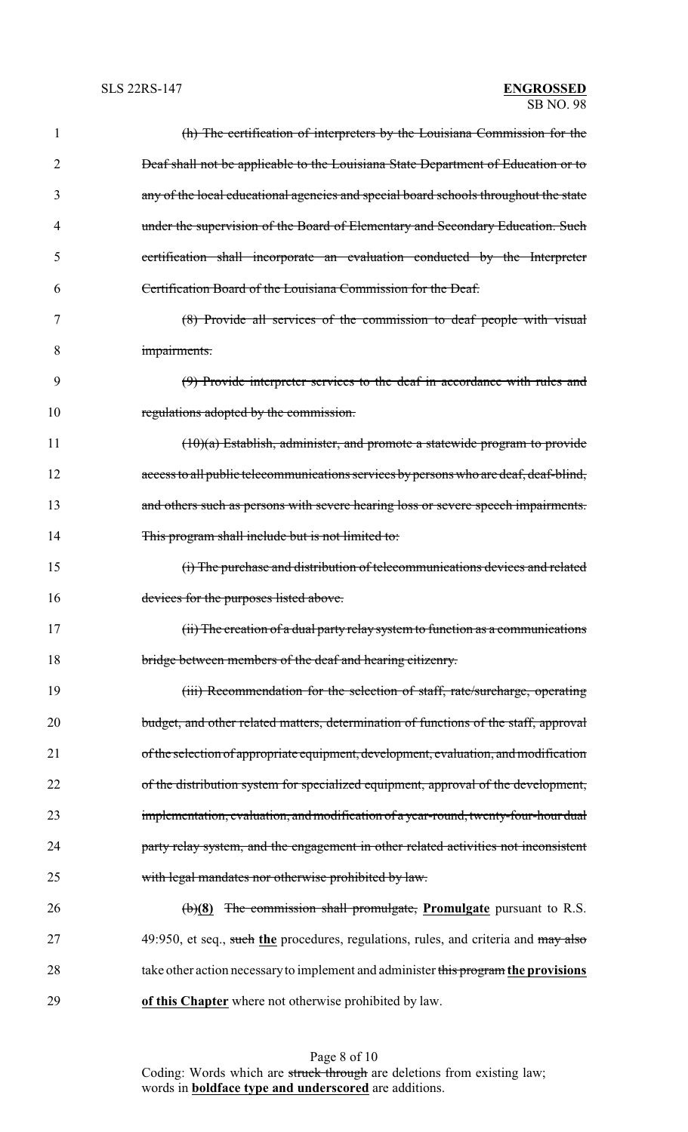| 1  | (h) The certification of interpreters by the Louisiana Commission for the                |
|----|------------------------------------------------------------------------------------------|
| 2  | <b>Deaf shall not be applicable to the Louisiana State Department of Education or to</b> |
| 3  | any of the local educational agencies and special board schools throughout the state     |
| 4  | under the supervision of the Board of Elementary and Secondary Education. Such           |
| 5  | certification shall incorporate an evaluation conducted by the Interpreter               |
| 6  | Certification Board of the Louisiana Commission for the Deaf.                            |
| 7  | (8) Provide all services of the commission to deaf people with visual                    |
| 8  | impairments.                                                                             |
| 9  | (9) Provide interpreter services to the deaf in accordance with rules and                |
| 10 | regulations adopted by the commission.                                                   |
| 11 | $(10)(a)$ Establish, administer, and promote a statewide program to provide              |
| 12 | access to all public telecommunications services by persons who are deaf, deaf-blind,    |
| 13 | and others such as persons with severe hearing loss or severe speech impairments.        |
| 14 | This program shall include but is not limited to:                                        |
| 15 | (i) The purchase and distribution of telecommunications devices and related              |
| 16 | devices for the purposes listed above.                                                   |
| 17 | (ii) The creation of a dual party relay system to function as a communications           |
| 18 | bridge between members of the deaf and hearing citizenry.                                |
| 19 | (iii) Recommendation for the selection of staff, rate/surcharge, operating               |
| 20 | budget, and other related matters, determination of functions of the staff, approval     |
| 21 | of the selection of appropriate equipment, development, evaluation, and modification     |
| 22 | of the distribution system for specialized equipment, approval of the development,       |
| 23 | implementation, evaluation, and modification of a year-round, twenty-four-hour dual      |
| 24 | party relay system, and the engagement in other related activities not inconsistent      |
| 25 | with legal mandates nor otherwise prohibited by law.                                     |
| 26 | $\left(\frac{b}{8}\right)$ The commission shall promulgate, Promulgate pursuant to R.S.  |
| 27 | 49:950, et seq., such the procedures, regulations, rules, and criteria and may also      |
| 28 | take other action necessary to implement and administer this program the provisions      |
| 29 | of this Chapter where not otherwise prohibited by law.                                   |

Page 8 of 10 Coding: Words which are struck through are deletions from existing law; words in **boldface type and underscored** are additions.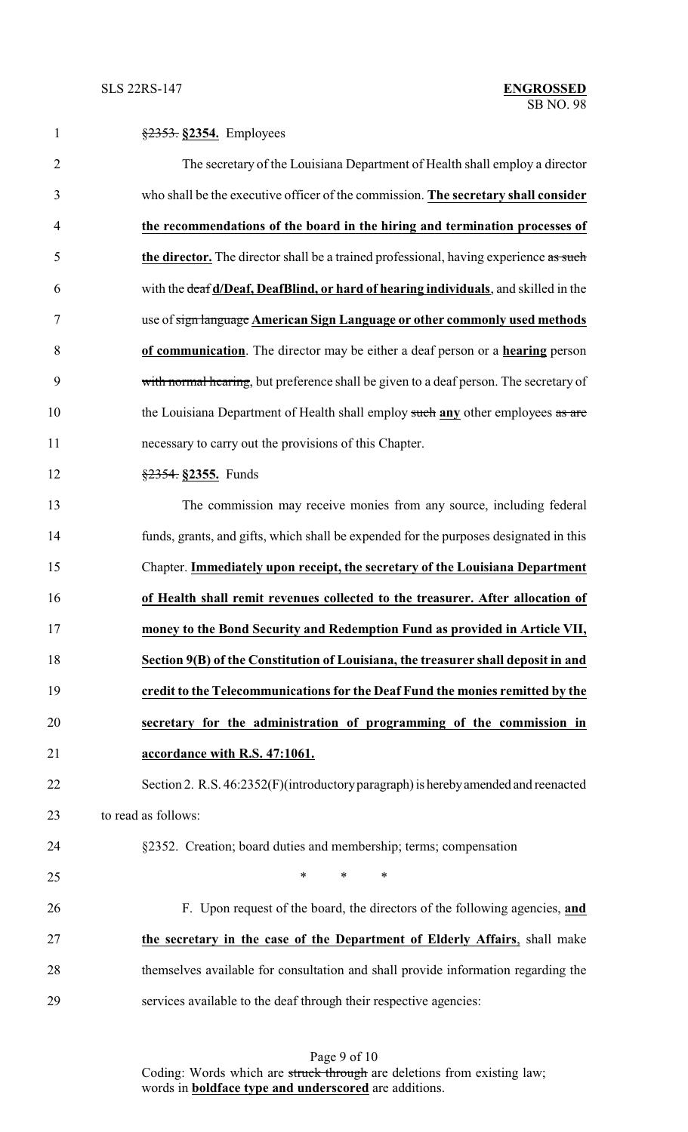| 1              | $\frac{2353}{2}$ \$2354. Employees                                                    |
|----------------|---------------------------------------------------------------------------------------|
| $\overline{2}$ | The secretary of the Louisiana Department of Health shall employ a director           |
| 3              | who shall be the executive officer of the commission. The secretary shall consider    |
| 4              | the recommendations of the board in the hiring and termination processes of           |
| 5              | the director. The director shall be a trained professional, having experience as such |
| 6              | with the deaf d/Deaf, DeafBlind, or hard of hearing individuals, and skilled in the   |
| 7              | use of sign language American Sign Language or other commonly used methods            |
| 8              | of communication. The director may be either a deaf person or a hearing person        |
| 9              | with normal hearing, but preference shall be given to a deaf person. The secretary of |
| 10             | the Louisiana Department of Health shall employ such any other employees as are       |
| 11             | necessary to carry out the provisions of this Chapter.                                |
| 12             | $\frac{$2354}{$2355}$ . Funds                                                         |
| 13             | The commission may receive monies from any source, including federal                  |
| 14             | funds, grants, and gifts, which shall be expended for the purposes designated in this |
| 15             | Chapter. Immediately upon receipt, the secretary of the Louisiana Department          |
| 16             | of Health shall remit revenues collected to the treasurer. After allocation of        |
| 17             | money to the Bond Security and Redemption Fund as provided in Article VII,            |
| 18             | Section 9(B) of the Constitution of Louisiana, the treasurer shall deposit in and     |
| 19             | credit to the Telecommunications for the Deaf Fund the monies remitted by the         |
| 20             | secretary for the administration of programming of the commission in                  |
| 21             | accordance with R.S. 47:1061.                                                         |
| 22             | Section 2. R.S. 46:2352(F)(introductory paragraph) is hereby amended and reenacted    |
| 23             | to read as follows:                                                                   |
| 24             | §2352. Creation; board duties and membership; terms; compensation                     |
| 25             | $\ast$<br>$\ast$<br>∗                                                                 |
| 26             | F. Upon request of the board, the directors of the following agencies, and            |
| 27             | the secretary in the case of the Department of Elderly Affairs, shall make            |
| 28             | themselves available for consultation and shall provide information regarding the     |
| 29             | services available to the deaf through their respective agencies:                     |

Page 9 of 10 Coding: Words which are struck through are deletions from existing law; words in **boldface type and underscored** are additions.